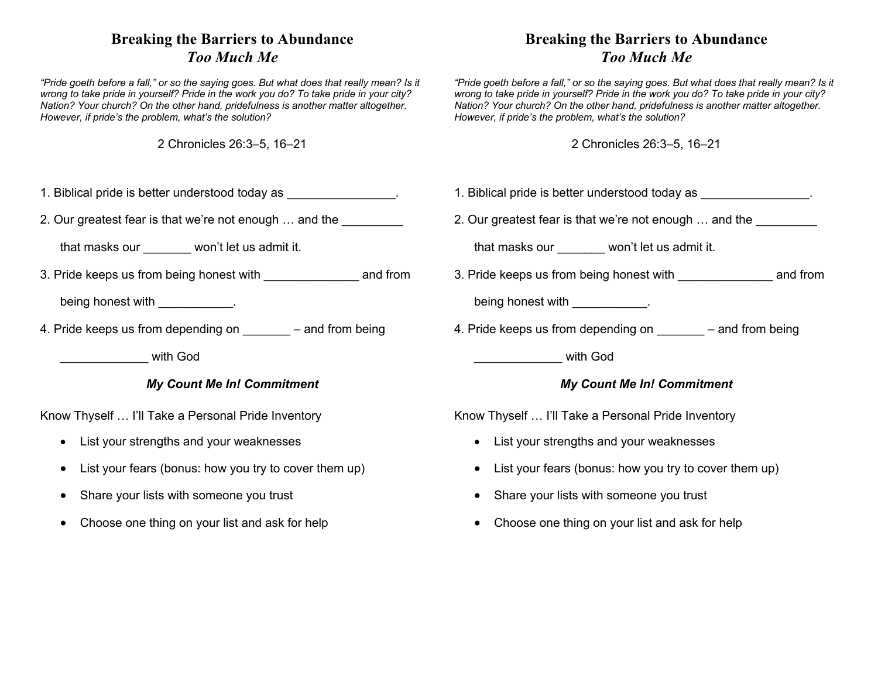## **Breaking the Barriers to Abundance** *Too Much Me*

*"Pride goeth before a fall," or so the saying goes. But what does that really mean? Is it wrong to take pride in yourself? Pride in the work you do? To take pride in your city? Nation? Your church? On the other hand, pridefulness is another matter altogether. However, if pride's the problem, what's the solution?*

2 Chronicles 26:3–5, 16–21

- 1. Biblical pride is better understood today as \_\_\_\_\_\_\_\_\_\_\_\_\_\_\_\_.
- 2. Our greatest fear is that we're not enough ... and the **constant of the set of the set of the set of the set o**

that masks our won't let us admit it.

3. Pride keeps us from being honest with \_\_\_\_\_\_\_\_\_\_\_\_\_\_ and from

being honest with the control of the control of the control of the control of the control of the control of the control of the control of the control of the control of the control of the control of the control of the contr

4. Pride keeps us from depending on  $-$  and from being

\_\_\_\_\_\_\_\_\_\_\_\_\_ with God

## *My Count Me In! Commitment*

Know Thyself … I'll Take a Personal Pride Inventory

- List your strengths and your weaknesses
- List your fears (bonus: how you try to cover them up)
- Share your lists with someone you trust
- Choose one thing on your list and ask for help